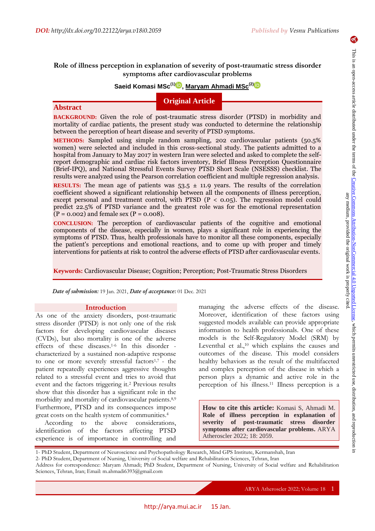$\blacktriangleright$ 

# **Role of illness perception in explanation of severity of post-traumatic stress disorder symptoms after cardiovascular problems**

# **Saeid Komasi MSc(1) , Maryam Ahmadi MSc(2[\)](https://orcid.org/0000-0002-2438-8367)**

# **Original Article**

# **Abstract**

**BACKGROUND:** Given the role of post-traumatic stress disorder (PTSD) in morbidity and mortality of cardiac patients, the present study was conducted to determine the relationship between the perception of heart disease and severity of PTSD symptoms.

**METHODS:** Sampled using simple random sampling, 202 cardiovascular patients (50.5% women) were selected and included in this cross-sectional study. The patients admitted to a hospital from January to May 2017 in western Iran were selected and asked to complete the selfreport demographic and cardiac risk factors inventory, Brief Illness Perception Questionnaire (Brief-IPQ), and National Stressful Events Survey PTSD Short Scale (NSESSS) checklist. The results were analyzed using the Pearson correlation coefficient and multiple regression analysis.

**RESULTS:** The mean age of patients was  $53.5 \pm 11.9$  years. The results of the correlation coefficient showed a significant relationship between all the components of illness perception, except personal and treatment control, with PTSD  $(P < 0.05)$ . The regression model could predict 22.5% of PTSD variance and the greatest role was for the emotional representation  $(P = 0.002)$  and female sex  $(P = 0.008)$ .

**CONCLUSION:** The perception of cardiovascular patients of the cognitive and emotional components of the disease, especially in women, plays a significant role in experiencing the symptoms of PTSD. Thus, health professionals have to monitor all these components, especially the patient's perceptions and emotional reactions, and to come up with proper and timely interventions for patients at risk to control the adverse effects of PTSD after cardiovascular events.

**Keywords:** Cardiovascular Disease; Cognition; Perception; Post-Traumatic Stress Disorders

*Date of submission:* 19 Jan. 2021, *Date of acceptance:* 01 Dec. 2021

### **Introduction**

As one of the anxiety disorders, post-traumatic stress disorder (PTSD) is not only one of the risk factors for developing cardiovascular diseases (CVDs), but also mortality is one of the adverse effects of these diseases.1-6 In this disorder characterized by a sustained non-adaptive response to one or more severely stressful factors1,7 - the patient repeatedly experiences aggressive thoughts related to a stressful event and tries to avoid that event and the factors triggering it.<sup>2</sup> Previous results show that this disorder has a significant role in the morbidity and mortality of cardiovascular patients.8,9 Furthermore, PTSD and its consequences impose great costs on the health system of communities.<sup>4</sup>

According to the above considerations, identification of the factors affecting PTSD experience is of importance in controlling and

managing the adverse effects of the disease. Moreover, identification of these factors using suggested models available can provide appropriate information to health professionals. One of these models is the Self-Regulatory Model (SRM) by Leventhal et al.,<sup>10</sup> which explains the causes and outcomes of the disease. This model considers healthy behaviors as the result of the multifaceted and complex perception of the disease in which a person plays a dynamic and active role in the perception of his illness.<sup>11</sup> Illness perception is a

**How to cite this article:** Komasi S, Ahmadi M. **Role of illness perception in explanation of severity of post-traumatic stress disorder symptoms after cardiovascular problems.** ARYA Atheroscler 2022; 18: 2059.

<sup>1-</sup> PhD Student, Department of Neuroscience and Psychopathology Research, Mind GPS Institute, Kermanshah, Iran

<sup>2-</sup> PhD Student, Department of Nursing, University of Social welfare and Rehabilitation Sciences, Tehran, Iran

Address for correspondence: Maryam Ahmadi; PhD Student, Department of Nursing, University of Social welfare and Rehabilitation Sciences, Tehran, Iran; Email: m.ahmadi6393@gmail.com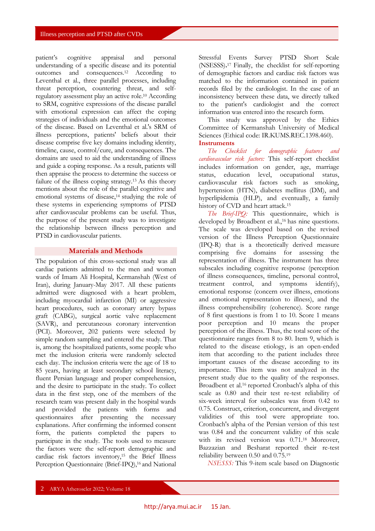patient's cognitive appraisal and personal understanding of a specific disease and its potential outcomes and consequences.<sup>12</sup> According to Leventhal et al., three parallel processes, including threat perception, countering threat, and selfregulatory assessment play an active role.<sup>10</sup> According to SRM, cognitive expressions of the disease parallel with emotional expression can affect the coping strategies of individuals and the emotional outcomes of the disease. Based on Leventhal et al.'s SRM of illness perceptions, patients' beliefs about their disease comprise five key domains including identity, timeline, cause, control/cure, and consequences. The domains are used to aid the understanding of illness and guide a coping response. As a result, patients will then appraise the process to determine the success or failure of the illness coping strategy.13 As this theory mentions about the role of the parallel cognitive and emotional systems of disease,<sup>14</sup> studying the role of these systems in experiencing symptoms of PTSD after cardiovascular problems can be useful. Thus, the purpose of the present study was to investigate the relationship between illness perception and PTSD in cardiovascular patients.

## **Materials and Methods**

The population of this cross-sectional study was all cardiac patients admitted to the men and women wards of Imam Ali Hospital, Kermanshah (West of Iran), during January-May 2017. All these patients admitted were diagnosed with a heart problem, including myocardial infarction (MI) or aggressive heart procedures, such as coronary artery bypass graft (CABG), surgical aortic valve replacement (SAVR), and percutaneous coronary intervention (PCI). Moreover, 202 patients were selected by simple random sampling and entered the study. That is, among the hospitalized patients, some people who met the inclusion criteria were randomly selected each day. The inclusion criteria were the age of 18 to 85 years, having at least secondary school literacy, fluent Persian language and proper comprehension, and the desire to participate in the study. To collect data in the first step, one of the members of the research team was present daily in the hospital wards and provided the patients with forms and questionnaires after presenting the necessary explanations. After confirming the informed consent form, the patients completed the papers to participate in the study. The tools used to measure the factors were the self-report demographic and cardiac risk factors inventory,15 the Brief Illness Perception Questionnaire (Brief-IPQ),<sup>16</sup> and National

Stressful Events Survey PTSD Short Scale (NSESSS).<sup>17</sup> Finally, the checklist for self-reporting of demographic factors and cardiac risk factors was matched to the information contained in patient records filed by the cardiologist. In the case of an inconsistency between these data, we directly talked to the patient's cardiologist and the correct information was entered into the research form.

This study was approved by the Ethics Committee of Kermanshah University of Medical Sciences (Ethical code: IR.KUMS.REC.1398.460). **Instruments**

*The Checklist for demographic features and cardiovascular risk factors:* This self-report checklist includes information on gender, age, marriage status, education level, occupational status, cardiovascular risk factors such as smoking, hypertension (HTN), diabetes mellitus (DM), and hyperlipidemia (HLP), and eventually, a family history of CVD and heart attack.<sup>15</sup>

*The Brief-IPQ:* This questionnaire, which is developed by Broadbent et al.,<sup>16</sup> has nine questions. The scale was developed based on the revised version of the Illness Perception Questionnaire (IPQ-R) that is a theoretically derived measure comprising five domains for assessing the representation of illness. The instrument has three subscales including cognitive response (perception of illness consequences, timeline, personal control, treatment control, and symptoms identify), emotional response (concern over illness, emotions and emotional representation to illness), and the illness comprehensibility (coherence). Score range of 8 first questions is from 1 to 10. Score 1 means poor perception and 10 means the proper perception of the illness. Thus, the total score of the questionnaire ranges from 8 to 80. Item 9, which is related to the disease etiology, is an open-ended item that according to the patient includes three important causes of the disease according to its importance. This item was not analyzed in the present study due to the quality of the responses. Broadbent et al.16 reported Cronbach's alpha of this scale as 0.80 and their test re-test reliability of six-week interval for subscales was from 0.42 to 0.75. Construct, criterion, concurrent, and divergent validities of this tool were appropriate too. Cronbach's alpha of the Persian version of this test was 0.84 and the concurrent validity of this scale with its revised version was 0.71.18 Moreover, Bazzazian and Besharat reported their re-test reliability between 0.50 and 0.75.<sup>19</sup>

*NSESSS:* This 9-item scale based on Diagnostic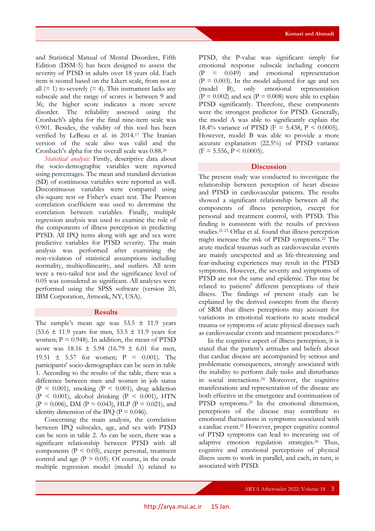and Statistical Manual of Mental Disorders, Fifth Edition (DSM-5) has been designed to assess the severity of PTSD in adults over 18 years old. Each item is scored based on the Likert scale, from not at all  $(= 1)$  to severely  $(= 4)$ . This instrument lacks any subscale and the range of scores is between 9 and 36; the higher score indicates a more severe disorder. The reliability assessed using the Cronbach's alpha for the final nine-item scale was 0.901. Besides, the validity of this tool has been verified by LeBeau et al. in 2014.<sup>17</sup> The Iranian version of the scale also was valid and the Cronbach's alpha for the overall scale was 0.88.<sup>20</sup>

*Statistical analysis:* Firstly, descriptive data about the socio-demographic variables were reported using percentages. The mean and standard deviation (SD) of continuous variables were reported as well. Discontinuous variables were compared using chi-square test or Fisher's exact test. The Pearson correlation coefficient was used to determine the correlation between variables. Finally, multiple regression analysis was used to examine the role of the components of illness perception in predicting PTSD. All IPQ items along with age and sex were predictive variables for PTSD severity. The main analysis was performed after examining the non-violation of statistical assumptions including normality, multicollinearity, and outliers. All tests were a two-tailed test and the significance level of 0.05 was considered as significant. All analyses were performed using the SPSS software (version 20, IBM Corporation, Armonk, NY, USA).

#### **Results**

The sample's mean age was  $53.5 \pm 11.9$  years  $(53.6 \pm 11.9 \text{ years}$  for men,  $53.5 \pm 11.9 \text{ years}$  for women;  $P = 0.948$ ). In addition, the mean of PTSD score was  $18.16 \pm 5.94$  (16.79  $\pm$  6.01 for men, 19.51  $\pm$  5.57 for women; P = 0.001). The participants' socio-demographics can be seen in table 1. According to the results of the table, there was a difference between men and women in job status  $(P < 0.001)$ , smoking  $(P < 0.001)$ , drug addiction  $(P < 0.001)$ , alcohol drinking  $(P < 0.001)$ , HTN  $(P = 0.006)$ , DM  $(P = 0.043)$ , HLP  $(P = 0.021)$ , and identity dimension of the IPQ ( $P = 0.046$ ).

Concerning the main analysis, the correlation between IPQ subscales, age, and sex with PTSD can be seen in table 2. As can be seen, there was a significant relationship between PTSD with all components  $(P < 0.05)$ , except personal, treatment control and age  $(P > 0.05)$ . Of course, in the crude multiple regression model (model A) related to PTSD, the P-value was significant simply for emotional response subscale including concern (P = 0.049) and emotional representation  $(P = 0.003)$ . In the model adjusted for age and sex (model B), only emotional representation  $(P = 0.002)$  and sex  $(P = 0.008)$  were able to explain PTSD significantly. Therefore, these components were the strongest predictor for PTSD. Generally, the model A was able to significantly explain the 18.4% variance of PTSD (F = 5.438, P < 0.0005). However, model B was able to provide a more accurate explanation (22.5%) of PTSD variance  $(F = 5.556, P \le 0.0005).$ 

## **Discussion**

The present study was conducted to investigate the relationship between perception of heart disease and PTSD in cardiovascular patients. The results showed a significant relationship between all the components of illness perception, except for personal and treatment control, with PTSD. This finding is consistent with the results of previous studies.21-23 Oflaz et al. found that illness perception might increase the risk of PTSD symptoms.<sup>22</sup> The acute medical traumas such as cardiovascular events are mainly unexpected and as life-threatening and fear-inducing experiences may result in the PTSD symptoms. However, the severity and symptoms of PTSD are not the same and epidemic. This may be related to patients' different perceptions of their illness. The findings of present study can be explained by the derived concepts from the theory of SRM that illness perceptions may account for variations in emotional reactions to acute medical trauma or symptoms of acute physical diseases such as cardiovascular events and treatment procedures.<sup>21</sup>

In the cognitive aspect of illness perception, it is stated that the patient's attitudes and beliefs about that cardiac disease are accompanied by serious and problematic consequences, strongly associated with the inability to perform daily tasks and disturbance in social interactions.<sup>24</sup> Moreover, the cognitive manifestations and representation of the disease are both effective in the emergence and continuation of PTSD symptoms.<sup>25</sup> In the emotional dimension, perceptions of the disease may contribute to emotional fluctuations in symptoms associated with a cardiac event.<sup>21</sup> However, proper cognitive control of PTSD symptoms can lead to increasing use of adaptive emotion regulation strategies.26 Thus, cognitive and emotional perceptions of physical illness seem to work in parallel, and each, in turn, is associated with PTSD.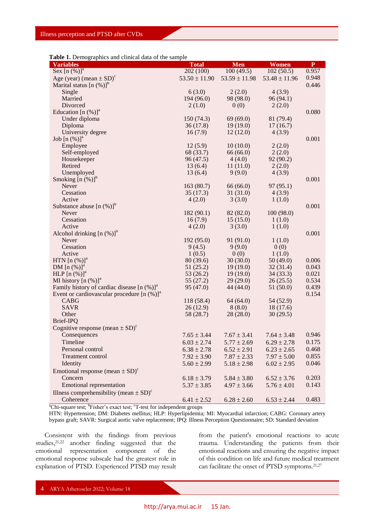|  | Table 1. Demographics and clinical data of the sample |
|--|-------------------------------------------------------|
|--|-------------------------------------------------------|

| <b>Variables</b>                                       | <b>Total</b>      | Men               | <b>Women</b>      | $\mathbf{P}$ |
|--------------------------------------------------------|-------------------|-------------------|-------------------|--------------|
| Sex $[n \ (\%)]^a$                                     | 202(100)          | 100(49.5)         | 102(50.5)         | 0.957        |
| Age (year) (mean $\pm$ SD) <sup>c</sup>                | $53.50 \pm 11.90$ | $53.59 \pm 11.98$ | $53.48 \pm 11.96$ | 0.948        |
| Marital status $[n (%)]$ <sup>b</sup>                  |                   |                   |                   | 0.446        |
| Single                                                 | 6(3.0)            | 2(2.0)            | 4(3.9)            |              |
| Married                                                | 194 (96.0)        | 98 (98.0)         | 96(94.1)          |              |
| Divorced                                               | 2(1.0)            | 0(0)              | 2(2.0)            |              |
| Education $[n (%)]$ <sup>a</sup>                       |                   |                   |                   | 0.080        |
| Under diploma                                          | 150(74.3)         | 69(69.0)          | 81 (79.4)         |              |
| Diploma                                                | 36(17.8)          | 19(19.0)          | 17(16.7)          |              |
| University degree                                      | 16(7.9)           | 12(12.0)          | 4(3.9)            |              |
| Job $[n \ (\%)]^a$                                     |                   |                   |                   | 0.001        |
| Employee                                               | 12(5.9)           | 10(10.0)          | 2(2.0)            |              |
| Self-employed                                          | 68 (33.7)         | 66(66.0)          | 2(2.0)            |              |
| Housekeeper                                            | 96 (47.5)         | 4(4.0)            | 92 (90.2)         |              |
| Retired                                                | 13(6.4)           | 11(11.0)          | 2(2.0)            |              |
| Unemployed                                             | 13(6.4)           | 9(9.0)            | 4(3.9)            |              |
| Smoking $[n (%)]$ <sup>b</sup>                         |                   |                   |                   | 0.001        |
| Never                                                  | 163(80.7)         | 66 (66.0)         | 97(95.1)          |              |
| Cessation                                              | 35(17.3)          | 31(31.0)          | 4(3.9)            |              |
| Active                                                 | 4(2.0)            | 3(3.0)            | 1(1.0)            |              |
| Substance abuse $[n (\%)]^{\circ}$                     |                   |                   |                   | 0.001        |
| Never                                                  | 182(90.1)         | 82 (82.0)         | 100(98.0)         |              |
| Cessation                                              | 16(7.9)           | 15(15.0)          | 1(1.0)            |              |
| Active                                                 | 4(2.0)            | 3(3.0)            | 1(1.0)            | 0.001        |
| Alcohol drinking $[n (\%)]$ <sup>b</sup><br>Never      | 192 (95.0)        | 91 (91.0)         |                   |              |
| Cessation                                              | 9(4.5)            | 9(9.0)            | 1(1.0)<br>0(0)    |              |
| Active                                                 | 1(0.5)            | 0(0)              | 1(1.0)            |              |
| HTN $[n (%)]$ <sup>a</sup>                             | 80(39.6)          | 30(30.0)          | 50(49.0)          | 0.006        |
| DM $[n \ (\%)]^a$                                      | 51(25.2)          | 19(19.0)          | 32(31.4)          | 0.043        |
| <b>HLP</b> $[n \ (\%)]^a$                              | 53(26.2)          | 19(19.0)          | 34(33.3)          | 0.021        |
| MI history $[n (%)]$ <sup>a</sup>                      | 55(27.2)          | 29(29.0)          | 26(25.5)          | 0.534        |
| Family history of cardiac disease $[n (\%)]^a$         | 95 (47.0)         | 44 (44.0)         | 51(50.0)          | 0.439        |
| Event or cardiovascular procedure $[n (\%)]^a$         |                   |                   |                   | 0.154        |
| CABG                                                   | 118 (58.4)        | 64(64.0)          | 54 (52.9)         |              |
| <b>SAVR</b>                                            | 26(12.9)          | 8(8.0)            | 18(17.6)          |              |
| Other                                                  | 58 (28.7)         | 28(28.0)          | 30(29.5)          |              |
| Brief-IPQ                                              |                   |                   |                   |              |
| Cognitive response (mean $\pm$ SD) <sup>c</sup>        |                   |                   |                   |              |
| Consequences                                           | $7.65 \pm 3.44$   | $7.67 \pm 3.41$   | $7.64 \pm 3.48$   | 0.946        |
| Timeline                                               | $6.03 \pm 2.74$   | $5.77 \pm 2.69$   | $6.29 \pm 2.78$   | 0.175        |
| Personal control                                       | $6.38 \pm 2.78$   | $6.52 \pm 2.91$   | $6.23 \pm 2.65$   | 0.468        |
| Treatment control                                      | $7.92 \pm 3.90$   | $7.87 \pm 2.33$   | $7.97 \pm 5.00$   | 0.855        |
| Identity                                               | $5.60 \pm 2.99$   | $5.18 \pm 2.98$   | $6.02 \pm 2.95$   | 0.046        |
| Emotional response (mean $\pm$ SD) <sup>c</sup>        |                   |                   |                   |              |
| Concern                                                | $6.18 \pm 3.79$   | $5.84 \pm 3.80$   | $6.52 \pm 3.76$   | 0.203        |
| <b>Emotional representation</b>                        | $5.37 \pm 3.85$   | $4.97 \pm 3.66$   | $5.76 \pm 4.01$   | 0.143        |
| Illness comprehensibility (mean $\pm$ SD) <sup>c</sup> |                   |                   |                   |              |
| Coherence                                              |                   |                   |                   | 0.483        |
|                                                        | $6.41 \pm 2.52$   | $6.28 \pm 2.60$   | $6.53 \pm 2.44$   |              |

<sup>a</sup>Chi-square test; <sup>b</sup>Fisher's exact test; <sup>c</sup>T-test for independent groups

HTN: Hypertension; DM: Diabetes mellitus; HLP: Hyperlipidemia; MI: Myocardial infarction; CABG: Coronary artery bypass graft; SAVR: Surgical aortic valve replacement; IPQ: Illness Perception Questionnaire; SD: Standard deviation

Consistent with the findings from previous studies,21,22 another finding suggested that the emotional representation component of the emotional response subscale had the greatest role in explanation of PTSD. Experienced PTSD may result from the patient's emotional reactions to acute trauma. Understanding the patients from their emotional reactions and ensuring the negative impact of this condition on life and future medical treatment can facilitate the onset of PTSD symptoms.21,27

4 ARYA Atheroscler 2022; Volume 18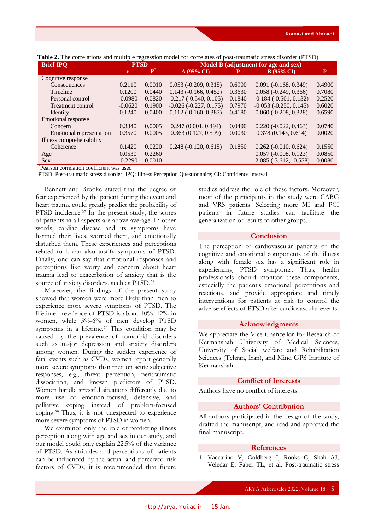| <b>Brief-IPQ</b>          | <b>PTSD</b> |           | Model B (adjustment for age and sex) |        |                                |        |
|---------------------------|-------------|-----------|--------------------------------------|--------|--------------------------------|--------|
|                           | r           | ${\bf P}$ | A(95% CI)                            | Р      | <b>B</b> (95% CI)              | P      |
| Cognitive response        |             |           |                                      |        |                                |        |
| Consequences              | 0.2110      | 0.0010    | $0.053(-0.209, 0.315)$               | 0.6900 | $0.091 (-0.168, 0.349)$        | 0.4900 |
| Timeline                  | 0.1200      | 0.0440    | $0.143(-0.166, 0.452)$               | 0.3630 | $0.058(-0.249, 0.366)$         | 0.7080 |
| Personal control          | $-0.0980$   | 0.0820    | $-0.217(-0.540, 0.105)$              | 0.1840 | $-0.184 (-0.501, 0.132)$       | 0.2520 |
| <b>Treatment control</b>  | $-0.0620$   | 0.1900    | $-0.026(-0.227, 0.175)$              | 0.7970 | $-0.053(-0.250, 0.145)$        | 0.6020 |
| Identity                  | 0.1240      | 0.0400    | $0.112(-0.160, 0.383)$               | 0.4180 | $0.060(-0.208, 0.328)$         | 0.6590 |
| <b>Emotional response</b> |             |           |                                      |        |                                |        |
| Concern                   | 0.3340      | 0.0005    | 0.247(0.001, 0.494)                  | 0.0490 | $0.220(-0.022, 0.463)$         | 0.0740 |
| Emotional representation  | 0.3570      | 0.0005    | 0.363(0.127, 0.599)                  | 0.0030 | 0.378(0.143, 0.614)            | 0.0020 |
| Illness comprehensibility |             |           |                                      |        |                                |        |
| Coherence                 | 0.1420      | 0.0220    | $0.248(-0.120, 0.615)$               | 0.1850 | $0.262$ ( $-0.010$ , $0.624$ ) | 0.1550 |
| Age                       | 0.0530      | 0.2260    |                                      |        | $0.057(-0.008, 0.123)$         | 0.0850 |
| <b>Sex</b>                | $-0.2290$   | 0.0010    |                                      |        | $-2.085(-3.612,-0.558)$        | 0.0080 |

**Table 2.** The correlations and multiple regression model for correlates of post-traumatic stress disorder (PTSD)

\* Pearson correlation coefficient was used

PTSD: Post-traumatic stress disorder; IPQ: Illness Perception Questionnaire; CI: Confidence interval

Bennett and Brooke stated that the degree of fear experienced by the patient during the event and heart trauma could greatly predict the probability of PTSD incidence.<sup>27</sup> In the present study, the scores of patients in all aspects are above average. In other words, cardiac disease and its symptoms have harmed their lives, worried them, and emotionally disturbed them. These experiences and perceptions related to it can also justify symptoms of PTSD. Finally, one can say that emotional responses and perceptions like worry and concern about heart trauma lead to exacerbation of anxiety that is the source of anxiety disorders, such as PTSD.<sup>28</sup>

Moreover, the findings of the present study showed that women were more likely than men to experience more severe symptoms of PTSD. The lifetime prevalence of PTSD is about 10%–12% in women, while 5%-6% of men develop PTSD symptoms in a lifetime.<sup>29</sup> This condition may be caused by the prevalence of comorbid disorders such as major depression and anxiety disorders among women. During the sudden experience of fatal events such as CVDs, women report generally more severe symptoms than men on acute subjective responses, e.g., threat perception, peritraumatic dissociation, and known predictors of PTSD. Women handle stressful situations differently due to more use of emotion-focused, defensive, and palliative coping instead of problem-focused coping.29 Thus, it is not unexpected to experience more severe symptoms of PTSD in women.

We examined only the role of predicting illness perception along with age and sex in our study, and our model could only explain 22.5% of the variance of PTSD. As attitudes and perceptions of patients can be influenced by the actual and perceived risk factors of CVDs, it is recommended that future

studies address the role of these factors. Moreover, most of the participants in the study were CABG and VRS patients. Selecting more MI and PCI patients in future studies can facilitate the generalization of results to other groups.

### **Conclusion**

The perception of cardiovascular patients of the cognitive and emotional components of the illness along with female sex has a significant role in experiencing PTSD symptoms. Thus, health professionals should monitor these components, especially the patient's emotional perceptions and reactions, and provide appropriate and timely interventions for patients at risk to control the adverse effects of PTSD after cardiovascular events.

### **Acknowledgments**

We appreciate the Vice Chancellor for Research of Kermanshah University of Medical Sciences, University of Social welfare and Rehabilitation Sciences (Tehran, Iran), and Mind GPS Institute of Kermanshah.

### **Conflict of Interests**

Authors have no conflict of interests.

# **Authors' Contribution**

All authors participated in the design of the study, drafted the manuscript, and read and approved the final manuscript.

### **References**

1. Vaccarino V, Goldberg J, Rooks C, Shah AJ, Veledar E, Faber TL, et al. Post-traumatic stress